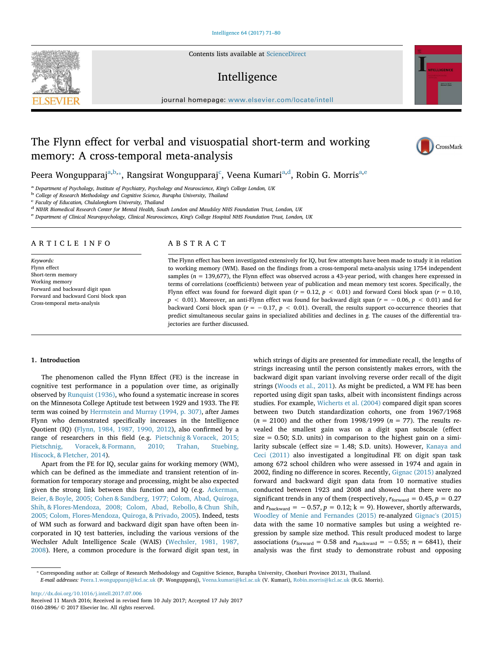Contents lists available at ScienceDirect

# Intelligence

journal homepage: www.elsevier.com/locate/intell

# The Flynn effect for verbal and visuospatial short-term and working memory: A cross-temporal meta-analysis



a *Department of Psychology, Institute of Psychiatry, Psychology and Neuroscience, King's College London, UK*

b *College of Research Methodology and Cognitive Science, Burapha University, Thailand*

c *Faculty of Education, Chulalongkorn University, Thailand*

d *NIHR Biomedical Research Center for Mental Health, South London and Maudsley NHS Foundation Trust, London, UK*

e *Department of Clinical Neuropsychology, Clinical Neurosciences, King's College Hospital NHS Foundation Trust, London, UK*

# ARTICLE INFO

*Keywords:* Flynn effect Short-term memory Working memory Forward and backward digit span Forward and backward Corsi block span Cross-temporal meta-analysis

# ABSTRACT

The Flynn effect has been investigated extensively for IQ, but few attempts have been made to study it in relation to working memory (WM). Based on the findings from a cross-temporal meta-analysis using 1754 independent samples ( $n = 139,677$ ), the Flynn effect was observed across a 43-year period, with changes here expressed in terms of correlations (coefficients) between year of publication and mean memory test scores. Specifically, the Flynn effect was found for forward digit span  $(r = 0.12, p < 0.01)$  and forward Corsi block span  $(r = 0.10, p < 0.01)$ *p* < 0.01). Moreover, an anti-Flynn effect was found for backward digit span (*r* = −0.06, *p* < 0.01) and for backward Corsi block span (*r* = −0.17, *p* < 0.01). Overall, the results support co-occurrence theories that predict simultaneous secular gains in specialized abilities and declines in *g*. The causes of the differential trajectories are further discussed.

### 1. Introduction

The phenomenon called the Flynn Effect (FE) is the increase in cognitive test performance in a population over time, as originally observed by Runquist (1936), who found a systematic increase in scores on the Minnesota College Aptitude test between 1929 and 1933. The FE term was coined by Herrnstein and Murray (1994, p. 307), after James Flynn who demonstrated specifically increases in the Intelligence Quotient (IQ) (Flynn, 1984, 1987, 1990, 2012), also confirmed by a range of researchers in this field (e.g. Pietschnig & Voracek, 2015; Pietschnig, Voracek, & Formann, 2010; Trahan, Stuebing, Hiscock, & Fletcher, 2014).

Apart from the FE for IQ, secular gains for working memory (WM), which can be defined as the immediate and transient retention of information for temporary storage and processing, might be also expected given the strong link between this function and IQ (e.g. Ackerman, Beier, & Boyle, 2005; Cohen & Sandberg, 1977; Colom, Abad, Quiroga, Shih, & Flores-Mendoza, 2008; Colom, Abad, Rebollo, & Chun Shih, 2005; Colom, Flores-Mendoza, Quiroga, & Privado, 2005). Indeed, tests of WM such as forward and backward digit span have often been incorporated in IQ test batteries, including the various versions of the Wechsler Adult Intelligence Scale (WAIS) (Wechsler, 1981, 1987, 2008). Here, a common procedure is the forward digit span test, in

which strings of digits are presented for immediate recall, the lengths of strings increasing until the person consistently makes errors, with the backward digit span variant involving reverse order recall of the digit strings (Woods et al., 2011). As might be predicted, a WM FE has been reported using digit span tasks, albeit with inconsistent findings across studies. For example, Wicherts et al. (2004) compared digit span scores between two Dutch standardization cohorts, one from 1967/1968 (*n* = 2100) and the other from 1998/1999 (*n* = 77). The results revealed the smallest gain was on a digit span subscale (effect size  $= 0.50$ ; S.D. units) in comparison to the highest gain on a similarity subscale (effect size = 1.48; S.D. units). However, Kanaya and Ceci (2011) also investigated a longitudinal FE on digit span task among 672 school children who were assessed in 1974 and again in 2002, finding no difference in scores. Recently, Gignac (2015) analyzed forward and backward digit span data from 10 normative studies conducted between 1923 and 2008 and showed that there were no significant trends in any of them (respectively,  $r_{\text{forward}} = 0.45$ ,  $p = 0.27$ and  $r_{\text{backward}} = -0.57$ ,  $p = 0.12$ ;  $k = 9$ ). However, shortly afterwards, Woodley of Menie and Fernandes (2015) re-analyzed Gignac's (2015) data with the same 10 normative samples but using a weighted regression by sample size method. This result produced modest to large associations ( $r_{\text{forward}} = 0.58$  and  $r_{\text{backward}} = -0.55$ ;  $n = 6841$ ), their analysis was the first study to demonstrate robust and opposing

http://dx.doi.org/10.1016/j.intell.2017.07.006 Received 11 March 2016; Received in revised form 10 July 2017; Accepted 17 July 2017 0160-2896/ © 2017 Elsevier Inc. All rights reserved.





CrossMark

<sup>⁎</sup> Corresponding author at: College of Research Methodology and Cognitive Science, Burapha University, Chonburi Province 20131, Thailand. *E-mail addresses:* Peera.1.wongupparaj@kcl.ac.uk (P. Wongupparaj), Veena.kumari@kcl.ac.uk (V. Kumari), Robin.morris@kcl.ac.uk (R.G. Morris).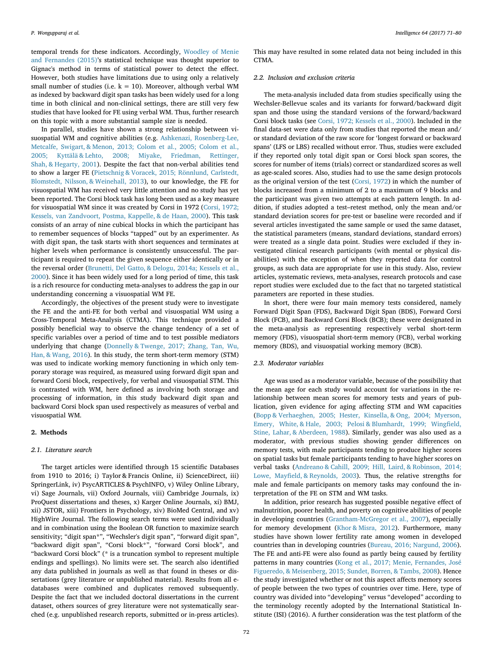temporal trends for these indicators. Accordingly, Woodley of Menie and Fernandes (2015)'s statistical technique was thought superior to Gignac's method in terms of statistical power to detect the effect. However, both studies have limitations due to using only a relatively small number of studies (i.e.  $k = 10$ ). Moreover, although verbal WM as indexed by backward digit span tasks has been widely used for a long time in both clinical and non-clinical settings, there are still very few studies that have looked for FE using verbal WM. Thus, further research on this topic with a more substantial sample size is needed.

In parallel, studies have shown a strong relationship between visuospatial WM and cognitive abilities (e.g. Ashkenazi, Rosenberg-Lee, Metcalfe, Swigart, & Menon, 2013; Colom et al., 2005; Colom et al., 2005; Kyttälä & Lehto, 2008; Miyake, Friedman, Rettinger, Shah, & Hegarty, 2001). Despite the fact that non-verbal abilities tend to show a larger FE (Pietschnig & Voracek, 2015; Rönnlund, Carlstedt, Blomstedt, Nilsson, & Weinehall, 2013), to our knowledge, the FE for visuospatial WM has received very little attention and no study has yet been reported. The Corsi block task has long been used as a key measure for visuospatial WM since it was created by Corsi in 1972 (Corsi, 1972; Kessels, van Zandvoort, Postma, Kappelle, & de Haan, 2000). This task consists of an array of nine cubical blocks in which the participant has to remember sequences of blocks "tapped" out by an experimenter. As with digit span, the task starts with short sequences and terminates at higher levels when performance is consistently unsuccessful. The participant is required to repeat the given sequence either identically or in the reversal order (Brunetti, Del Gatto, & Delogu, 2014a; Kessels et al., 2000). Since it has been widely used for a long period of time, this task is a rich resource for conducting meta-analyses to address the gap in our understanding concerning a visuospatial WM FE.

Accordingly, the objectives of the present study were to investigate the FE and the anti-FE for both verbal and visuospatial WM using a Cross-Temporal Meta-Analysis (CTMA). This technique provided a possibly beneficial way to observe the change tendency of a set of specific variables over a period of time and to test possible mediators underlying that change (Donnelly & Twenge, 2017; Zhang, Tan, Wu, Han, & Wang, 2016). In this study, the term short-term memory (STM) was used to indicate working memory functioning in which only temporary storage was required, as measured using forward digit span and forward Corsi block, respectively, for verbal and visuospatial STM. This is contrasted with WM, here defined as involving both storage and processing of information, in this study backward digit span and backward Corsi block span used respectively as measures of verbal and visuospatial WM.

# 2. Methods

#### *2.1. Literature search*

The target articles were identified through 15 scientific Databases from 1910 to 2016; i) Taylor & Francis Online, ii) ScienceDirect, iii) SpringerLink, iv) PsycARTICLES & PsychINFO, v) Wiley Online Library, vi) Sage Journals, vii) Oxford Journals, viii) Cambridge Journals, ix) ProQuest dissertations and theses, x) Karger Online Journals, xi) BMJ, xii) JSTOR, xiii) Frontiers in Psychology, xiv) BioMed Central, and xv) HighWire Journal. The following search terms were used individually and in combination using the Boolean OR function to maximize search sensitivity; "digit span\*", "Wechsler's digit span", "forward digit span", "backward digit span", "Corsi block\*", "forward Corsi block", and "backward Corsi block" (\* is a truncation symbol to represent multiple endings and spellings). No limits were set. The search also identified any data published in journals as well as that found in theses or dissertations (grey literature or unpublished material). Results from all edatabases were combined and duplicates removed subsequently. Despite the fact that we included doctoral dissertations in the current dataset, others sources of grey literature were not systematically searched (e.g. unpublished research reports, submitted or in-press articles).

This may have resulted in some related data not being included in this CTMA.

# *2.2. Inclusion and exclusion criteria*

The meta-analysis included data from studies specifically using the Wechsler-Bellevue scales and its variants for forward/backward digit span and those using the standard versions of the forward/backward Corsi block tasks (see Corsi, 1972; Kessels et al., 2000). Included in the final data-set were data only from studies that reported the mean and/ or standard deviation of the raw score for 'longest forward or backward spans' (LFS or LBS) recalled without error. Thus, studies were excluded if they reported only total digit span or Corsi block span scores, the scores for number of items (trials) correct or standardized scores as well as age-scaled scores. Also, studies had to use the same design protocols as the original version of the test (Corsi, 1972) in which the number of blocks increased from a minimum of 2 to a maximum of 9 blocks and the participant was given two attempts at each pattern length. In addition, if studies adopted a test–retest method, only the mean and/or standard deviation scores for pre-test or baseline were recorded and if several articles investigated the same sample or used the same dataset, the statistical parameters (means, standard deviations, standard errors) were treated as a single data point. Studies were excluded if they investigated clinical research participants (with mental or physical disabilities) with the exception of when they reported data for control groups, as such data are appropriate for use in this study. Also, review articles, systematic reviews, meta-analyses, research protocols and case report studies were excluded due to the fact that no targeted statistical parameters are reported in these studies.

In short, there were four main memory tests considered, namely Forward Digit Span (FDS), Backward Digit Span (BDS), Forward Corsi Block (FCB), and Backward Corsi Block (BCB); these were designated in the meta-analysis as representing respectively verbal short-term memory (FDS), visuospatial short-term memory (FCB), verbal working memory (BDS), and visuospatial working memory (BCB).

# *2.3. Moderator variables*

Age was used as a moderator variable, because of the possibility that the mean age for each study would account for variations in the relationship between mean scores for memory tests and years of publication, given evidence for aging affecting STM and WM capacities (Bopp & Verhaeghen, 2005; Hester, Kinsella, & Ong, 2004; Myerson, Emery, White, & Hale, 2003; Pelosi & Blumhardt, 1999; Wingfield, Stine, Lahar, & Aberdeen, 1988). Similarly, gender was also used as a moderator, with previous studies showing gender differences on memory tests, with male participants tending to produce higher scores on spatial tasks but female participants tending to have higher scores on verbal tasks (Andreano & Cahill, 2009; Hill, Laird, & Robinson, 2014; Lowe, Mayfield, & Reynolds, 2003). Thus, the relative strengths for male and female participants on memory tasks may confound the interpretation of the FE on STM and WM tasks.

In addition, prior research has suggested possible negative effect of malnutrition, poorer health, and poverty on cognitive abilities of people in developing countries (Grantham-McGregor et al., 2007), especially for memory development (Khor & Misra, 2012). Furthermore, many studies have shown lower fertility rate among women in developed countries than in developing countries (Bureau, 2016; Nargund, 2006). The FE and anti-FE were also found as partly being caused by fertility patterns in many countries (Kong et al., 2017; Menie, Fernandes, José Figueredo, & Meisenberg, 2015; Sundet, Borren, & Tambs, 2008). Hence the study investigated whether or not this aspect affects memory scores of people between the two types of countries over time. Here, type of country was divided into "developing" versus "developed" according to the terminology recently adopted by the International Statistical Institute (ISI) (2016). A further consideration was the test platform of the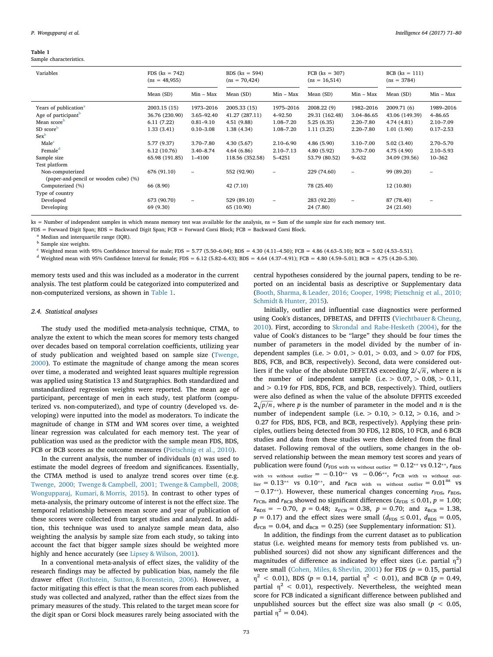Sample characteristics.

| Variables                                                 | $FDS (ks = 742)$<br>$(ns = 48,955)$ |               | BDS $(ks = 594)$<br>$(ns = 70,424)$ |                          | $FCB$ ( $ks = 307$ )<br>$(ns = 16,514)$ |               | $BCB$ ( $ks = 111$ )<br>$(ns = 3784)$ |               |
|-----------------------------------------------------------|-------------------------------------|---------------|-------------------------------------|--------------------------|-----------------------------------------|---------------|---------------------------------------|---------------|
|                                                           | Mean (SD)                           | Min – Max     | Mean (SD)                           | $Min - Max$              | Mean (SD)                               | $Min - Max$   | Mean (SD)                             | $Min - Max$   |
| Years of publication <sup>a</sup>                         | 2003.15 (15)                        | 1973-2016     | 2005.33 (15)                        | 1975-2016                | 2008.22 (9)                             | 1982-2016     | 2009.71 (6)                           | 1989-2016     |
| Age of participant <sup>b</sup>                           | 36.76 (230.90)                      | 3.65-92.40    | 41.27 (287.11)                      | 4-92.50                  | 29.31 (162.48)                          | 3.04-86.65    | 43.06 (149.39)                        | 4-86.65       |
| Mean score <sup>b</sup>                                   | 6.11(7.22)                          | $0.81 - 9.10$ | 4.51 (9.88)                         | 1.08-7.20                | 5.25(6.35)                              | $2.20 - 7.80$ | 4.74 (4.81)                           | 2.10-7.09     |
| SD score <sup>b</sup>                                     | 1.33(3.41)                          | $0.10 - 3.08$ | 1.38(4.34)                          | 1.08-7.20                | 1.11(3.25)                              | $2.20 - 7.80$ | 1.01(1.90)                            | $0.17 - 2.53$ |
| $Sex^b$                                                   |                                     |               |                                     |                          |                                         |               |                                       |               |
| Male <sup>c</sup>                                         | 5.77 (9.37)                         | 3.70-7.80     | 4.30(5.67)                          | $2.10 - 6.90$            | 4.86 (5.90)                             | $3.10 - 7.00$ | 5.02(3.40)                            | 2.70-5.70     |
| Female <sup>d</sup>                                       | 6.12(10.76)                         | $3.40 - 8.74$ | 4.64 (6.86)                         | $2.10 - 7.13$            | 4.80 (5.92)                             | $3.70 - 7.00$ | 4.75 (4.90)                           | 2.10-5.93     |
| Sample size                                               | 65.98 (191.85)                      | 1-4100        | 118.56 (352.58)                     | 5-4251                   | 53.79 (80.52)                           | $9 - 632$     | 34.09 (39.56)                         | 10-362        |
| Test platform                                             |                                     |               |                                     |                          |                                         |               |                                       |               |
| Non-computerized<br>(paper-and-pencil or wooden cube) (%) | 676 (91.10)                         |               | 552 (92.90)                         | $\overline{\phantom{a}}$ | 229 (74.60)                             |               | 99 (89.20)                            | ۰             |
| Computerized (%)                                          | 66 (8.90)                           |               | 42 (7.10)                           |                          | 78 (25.40)                              |               | 12 (10.80)                            |               |
| Type of country                                           |                                     |               |                                     |                          |                                         |               |                                       |               |
| Developed                                                 | 673 (90.70)                         |               | 529 (89.10)                         |                          | 283 (92.20)                             |               | 87 (78.40)                            |               |
| Developing                                                | 69 (9.30)                           |               | 65 (10.90)                          |                          | 24 (7.80)                               |               | 24 (21.60)                            |               |

 $ks =$  Number of independent samples in which means memory test was available for the analysis,  $ns =$  Sum of the sample size for each memory test.

FDS = Forward Digit Span; BDS = Backward Digit Span; FCB = Forward Corsi Block; FCB = Backward Corsi Block.

Median and interquartile range (IQR).

<sup>b</sup> Sample size weights.

 $c$  Weighted mean with 95% Confidence Interval for male; FDS = 5.77 (5.50–6.04); BDS = 4.30 (4.11–4.50); FCB = 4.86 (4.63–5.10); BCB = 5.02 (4.53–5.51).

<sup>d</sup> Weighted mean with 95% Confidence Interval for female; FDS = 6.12 (5.82–6.43); BDS = 4.64 (4.37–4.91); FCB = 4.80 (4.59–5.01); BCB = 4.75 (4.20–5.30).

memory tests used and this was included as a moderator in the current analysis. The test platform could be categorized into computerized and non-computerized versions, as shown in Table 1.

# *2.4. Statistical analyses*

The study used the modified meta-analysis technique, CTMA, to analyze the extent to which the mean scores for memory tests changed over decades based on temporal correlation coefficients, utilizing year of study publication and weighted based on sample size (Twenge, 2000). To estimate the magnitude of change among the mean scores over time, a moderated and weighted least squares multiple regression was applied using Statistica 13 and Statgraphics. Both standardized and unstandardized regression weights were reported. The mean age of participant, percentage of men in each study, test platform (computerized vs. non-computerized), and type of country (developed vs. developing) were inputted into the model as moderators. To indicate the magnitude of change in STM and WM scores over time, a weighted linear regression was calculated for each memory test. The year of publication was used as the predictor with the sample mean FDS, BDS, FCB or BCB scores as the outcome measures (Pietschnig et al., 2010).

In the current analysis, the number of individuals (n) was used to estimate the model degrees of freedom and significances. Essentially, the CTMA method is used to analyze trend scores over time (e.g. Twenge, 2000; Twenge & Campbell, 2001; Twenge & Campbell, 2008; Wongupparaj, Kumari, & Morris, 2015). In contrast to other types of meta-analysis, the primary outcome of interest is not the effect size. The temporal relationship between mean score and year of publication of these scores were collected from target studies and analyzed. In addition, this technique was used to analyze sample mean data, also weighting the analysis by sample size from each study, so taking into account the fact that bigger sample sizes should be weighted more highly and hence accurately (see Lipsey & Wilson, 2001).

In a conventional meta-analysis of effect sizes, the validity of the research findings may be affected by publication bias, namely the file drawer effect (Rothstein, Sutton, & Borenstein, 2006). However, a factor mitigating this effect is that the mean scores from each published study was collected and analyzed, rather than the effect sizes from the primary measures of the study. This related to the target mean score for the digit span or Corsi block measures rarely being associated with the

central hypotheses considered by the journal papers, tending to be reported on an incidental basis as descriptive or Supplementary data (Booth, Sharma, & Leader, 2016; Cooper, 1998; Pietschnig et al., 2010; Schmidt & Hunter, 2015).

Initially, outlier and influential case diagnostics were performed using Cook's distances, DFBETAS, and DFFITS (Viechtbauer & Cheung, 2010). First, according to Skrondal and Rabe-Hesketh (2004), for the value of Cook's distances to be "large" they should be four times the number of parameters in the model divided by the number of independent samples (i.e.  $> 0.01$ ,  $> 0.01$ ,  $> 0.03$ , and  $> 0.07$  for FDS, BDS, FCB, and BCB, respectively). Second, data were considered outliers if the value of the absolute DEFETAS exceeding  $2/\sqrt{n}$ , where n is the number of independent sample (i.e.  $> 0.07, > 0.08, > 0.11$ , and > 0.19 for FDS, BDS, FCB, and BCB, respectively). Third, outliers were also defined as when the value of the absolute DFFITS exceeded  $2\sqrt{p/n}$ , where p is the number of parameter in the model and *n* is the number of independent sample (i.e.  $> 0.10$ ,  $> 0.12$ ,  $> 0.16$ , and  $>$ 0.27 for FDS, BDS, FCB, and BCB, respectively). Applying these principles, outliers being detected from 30 FDS, 12 BDS, 10 FCB, and 6 BCB studies and data from these studies were then deleted from the final dataset. Following removal of the outliers, some changes in the observed relationship between the mean memory test scores and years of publication were found ( $r_{\text{FDS with vs without outlier}} = 0.12**$  vs  $0.12**$ ,  $r_{\text{BDS}}$ with vs without outlier =  $-0.10^{**}$  vs  $-0.06^{**}$ ,  $r_{\text{FCB}}$  with vs without out- $\mu_{\text{lier}} = 0.13^{**}$  vs  $0.10^{**}$ , and  $r_{\text{BCB}}$  with vs without outlier =  $0.01^{\text{ns}}$  vs − 0.17<sup><sup>∗</sup></sub>). However, these numerical changes concerning  $r_{\text{FDS}}$ ,  $r_{\text{BDS}}$ ,</sup>  $r_{\text{FCB}}$ , and  $r_{\text{BCB}}$  showed no significant differences ( $z_{\text{FDS}} \leq 0.01$ ,  $p = 1.00$ ;  $z_{BDS} = -0.70$ ,  $p = 0.48$ ;  $z_{FCB} = 0.38$ ,  $p = 0.70$ ; and  $z_{BCB} = 1.38$ ,  $p = 0.17$ ) and the effect sizes were small ( $d_{\text{FDS}} \leq 0.01$ ,  $d_{\text{BDS}} = 0.05$ ,  $d_{\text{FCB}} = 0.04$ , and  $d_{\text{BCB}} = 0.25$ ) (see Supplementary information: S1).

In addition, the findings from the current dataset as to publication status (i.e. weighted means for memory tests from published vs. unpublished sources) did not show any significant differences and the magnitudes of difference as indicated by effect sizes (i.e. partial  $\eta^2$ ) were small (Cohen, Miles, & Shevlin, 2001) for FDS (*p* = 0.15, partial  $η<sup>2</sup> < 0.01$ ), BDS (*p* = 0.14, partial  $η<sup>2</sup> < 0.01$ ), and BCB (*p* = 0.49, partial  $\eta^2$  < 0.01), respectively. Nevertheless, the weighted mean score for FCB indicated a significant difference between published and unpublished sources but the effect size was also small  $(p < 0.05,$ partial  $\eta^2 = 0.04$ ).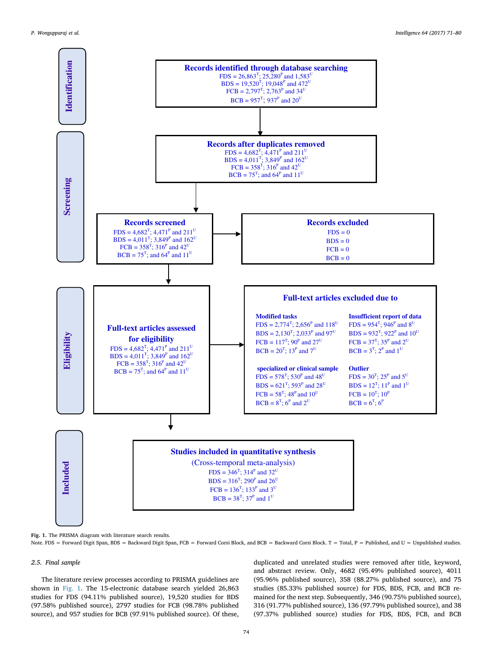

Fig. 1. The PRISMA diagram with literature search results.

Note. FDS = Forward Digit Span, BDS = Backward Digit Span, FCB = Forward Corsi Block, and BCB = Backward Corsi Block. T = Total, P = Published, and U = Unpublished studies.

# *2.5. Final sample*

The literature review processes according to PRISMA guidelines are shown in Fig. 1. The 15-electronic database search yielded 26,863 studies for FDS (94.11% published source), 19,520 studies for BDS (97.58% published source), 2797 studies for FCB (98.78% published source), and 957 studies for BCB (97.91% published source). Of these, duplicated and unrelated studies were removed after title, keyword, and abstract review. Only, 4682 (95.49% published source), 4011 (95.96% published source), 358 (88.27% published source), and 75 studies (85.33% published source) for FDS, BDS, FCB, and BCB remained for the next step. Subsequently, 346 (90.75% published source), 316 (91.77% published source), 136 (97.79% published source), and 38 (97.37% published source) studies for FDS, BDS, FCB, and BCB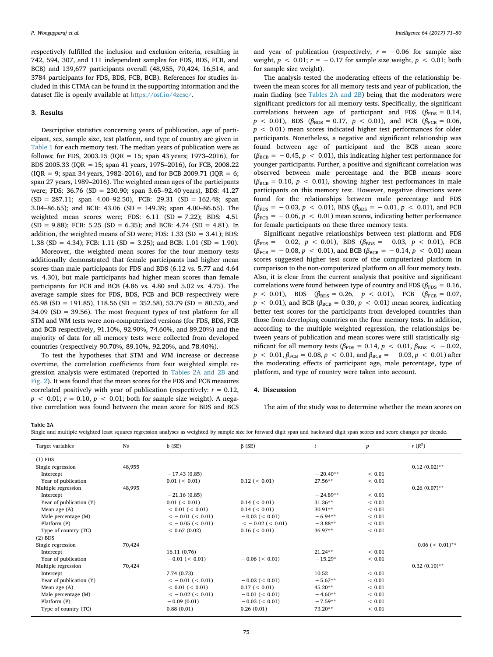respectively fulfilled the inclusion and exclusion criteria, resulting in 742, 594, 307, and 111 independent samples for FDS, BDS, FCB, and BCB) and 139,677 participants overall (48,955, 70,424, 16,514, and 3784 participants for FDS, BDS, FCB, BCB). References for studies included in this CTMA can be found in the supporting information and the dataset file is openly available at https://osf.io/4zesc/.

### 3. Results

Descriptive statistics concerning years of publication, age of participant, sex, sample size, test platform, and type of country are given in Table 1 for each memory test. The median years of publication were as follows: for FDS, 2003.15 ( $IOR = 15$ ; span 43 years; 1973–2016), for BDS 2005.33 (IQR =15; span 41 years, 1975–2016), for FCB, 2008.22  $(IQR = 9; span 34 years, 1982–2016)$ , and for BCB 2009.71 ( $IQR = 6;$ span 27 years, 1989–2016). The weighted mean ages of the participants were; FDS: 36.76 (SD = 230.90; span 3.65–92.40 years), BDS: 41.27  $(SD = 287.11$ ; span 4.00–92.50), FCB: 29.31  $(SD = 162.48$ ; span 3.04–86.65); and BCB: 43.06 (SD = 149.39; span 4.00–86.65). The weighted mean scores were; FDS:  $6.11$  (SD = 7.22); BDS: 4.51  $(SD = 9.88)$ ; FCB: 5.25  $(SD = 6.35)$ ; and BCB: 4.74  $(SD = 4.81)$ . In addition, the weighted means of SD were; FDS: 1.33 (SD = 3.41); BDS: 1.38 (SD = 4.34); FCB: 1.11 (SD = 3.25); and BCB: 1.01 (SD = 1.90).

Moreover, the weighted mean scores for the four memory tests additionally demonstrated that female participants had higher mean scores than male participants for FDS and BDS (6.12 vs. 5.77 and 4.64 vs. 4.30), but male participants had higher mean scores than female participants for FCB and BCB (4.86 vs. 4.80 and 5.02 vs. 4.75). The average sample sizes for FDS, BDS, FCB and BCB respectively were 65.98 (SD = 191.85), 118.56 (SD = 352.58), 53.79 (SD = 80.52), and 34.09 (SD = 39.56). The most frequent types of test platform for all STM and WM tests were non-computerized versions (for FDS, BDS, FCB and BCB respectively, 91.10%, 92.90%, 74.60%, and 89.20%) and the majority of data for all memory tests were collected from developed countries (respectively 90.70%, 89.10%, 92.20%, and 78.40%).

To test the hypotheses that STM and WM increase or decrease overtime, the correlation coefficients from four weighted simple regression analysis were estimated (reported in Tables 2A and 2B and Fig. 2). It was found that the mean scores for the FDS and FCB measures correlated positively with year of publication (respectively:  $r = 0.12$ ,  $p \le 0.01$ ;  $r = 0.10$ ,  $p \le 0.01$ ; both for sample size weight). A negative correlation was found between the mean score for BDS and BCS

and year of publication (respectively;  $r = -0.06$  for sample size weight,  $p < 0.01$ ;  $r = -0.17$  for sample size weight,  $p < 0.01$ ; both for sample size weight).

The analysis tested the moderating effects of the relationship between the mean scores for all memory tests and year of publication, the main finding (see Tables 2A and 2B) being that the moderators were significant predictors for all memory tests. Specifically, the significant correlations between age of participant and FDS ( $\beta_{\text{FDS}} = 0.14$ ,  $p$  < 0.01), BDS ( $\beta_{\text{BDS}}$  = 0.17,  $p$  < 0.01), and FCB ( $\beta_{\text{FCB}}$  = 0.06, *p* < 0.01) mean scores indicated higher test performances for older participants. Nonetheless, a negative and significant relationship was found between age of participant and the BCB mean score  $(\beta_{BCB} = -0.45, p < 0.01)$ , this indicating higher test performance for younger participants. Further, a positive and significant correlation was observed between male percentage and the BCB means score  $(\beta_{BCB} = 0.10, p < 0.01)$ , showing higher test performances in male participants on this memory test. However, negative directions were found for the relationships between male percentage and FDS  $(\beta_{\text{FDS}} = -0.03, p < 0.01)$ , BDS  $(\beta_{\text{BDS}} = -0.01, p < 0.01)$ , and FCB  $(\beta_{\text{FCB}} = -0.06, p < 0.01)$  mean scores, indicating better performance for female participants on these three memory tests.

Significant negative relationships between test platform and FDS  $(\beta_{\text{FDS}} = -0.02, p < 0.01)$ , BDS  $(\beta_{\text{BDS}} = -0.03, p < 0.01)$ , FCB  $(\beta_{\text{FCB}} = -0.08, p < 0.01)$ , and BCB ( $\beta_{\text{BCB}} = -0.14, p < 0.01$ ) mean scores suggested higher test score of the computerized platform in comparison to the non-computerized platform on all four memory tests. Also, it is clear from the current analysis that positive and significant correlations were found between type of country and FDS ( $\beta_{\text{FDS}} = 0.16$ ,  $p < 0.01$ ), BDS ( $\beta_{\text{BDS}} = 0.26$ ,  $p < 0.01$ ), FCB ( $\beta_{\text{FCB}} = 0.07$ ,  $p$  < 0.01), and BCB ( $\beta_{\text{BCB}}$  = 0.30,  $p$  < 0.01) mean scores, indicating better test scores for the participants from developed countries than those from developing countries on the four memory tests. In addition, according to the multiple weighted regression, the relationships between years of publication and mean scores were still statistically significant for all memory tests ( $\beta_{\text{FDS}} = 0.14$ ,  $p < 0.01$ ,  $\beta_{\text{BDS}} < -0.02$ ,  $p$  < 0.01,  $\beta_{\text{FCB}}$  = 0.08,  $p$  < 0.01, and  $\beta_{\text{BCB}}$  = -0.03,  $p$  < 0.01) after the moderating effects of participant age, male percentage, type of platform, and type of country were taken into account.

# 4. Discussion

The aim of the study was to determine whether the mean scores on

#### Table 2A

Single and multiple weighted least squares regression analyses as weighted by sample size for forward digit span and backward digit span scores and score changes per decade.

| Target variables        | <b>Ns</b> | b(SE)                 | $\beta$ (SE)          | t          | $\boldsymbol{p}$ | $r(R^2)$            |
|-------------------------|-----------|-----------------------|-----------------------|------------|------------------|---------------------|
| $(1)$ FDS               |           |                       |                       |            |                  |                     |
| Single regression       | 48,955    |                       |                       |            |                  | $0.12(0.02)$ **     |
| Intercept               |           | $-17.43(0.85)$        |                       | $-20.40**$ | < 0.01           |                     |
| Year of publication     |           | 0.01 (< 0.01)         | 0.12 (< 0.01)         | 27.56**    | < 0.01           |                     |
| Multiple regression     | 48,995    |                       |                       |            |                  | $0.26(0.07)$ **     |
| Intercept               |           | $-21.16(0.85)$        |                       | $-24.89**$ | < 0.01           |                     |
| Year of publication (Y) |           | 0.01 (< 0.01)         | 0.14 (< 0.01)         | $31.36**$  | ${}< 0.01$       |                     |
| Mean age (A)            |           | $< 0.01$ ( $< 0.01$ ) | 0.14 (< 0.01)         | $30.91**$  | < 0.01           |                     |
| Male percentage (M)     |           | $<-0.01$ ( $< 0.01$ ) | $-0.03$ ( $< 0.01$ )  | $-6.94**$  | ${}< 0.01$       |                     |
| Platform (P)            |           | $<-0.05$ ( $< 0.01$ ) | $<-0.02$ ( $< 0.01$ ) | $-3.88**$  | < 0.01           |                     |
| Type of country (TC)    |           | < 0.67(0.02)          | 0.16 (< 0.01)         | $36.97**$  | < 0.01           |                     |
| $(2)$ BDS               |           |                       |                       |            |                  |                     |
| Single regression       | 70,424    |                       |                       |            |                  | $-0.06$ ( < 0.01)** |
| Intercept               |           | 16.11 (0.76)          |                       | $21.24**$  | < 0.01           |                     |
| Year of publication     |           | $-0.01$ ( $< 0.01$ )  | $-0.06$ ( $< 0.01$ )  | $-15.29*$  | ${}< 0.01$       |                     |
| Multiple regression     | 70,424    |                       |                       |            |                  | $0.32(0.10)$ **     |
| Intercept               |           | 7.74 (0.73)           |                       | 10.52      | < 0.01           |                     |
| Year of publication (Y) |           | $<-0.01$ ( $< 0.01$ ) | $-0.02$ ( $< 0.01$ )  | $-5.67**$  | < 0.01           |                     |
| Mean age (A)            |           | $< 0.01$ ( $< 0.01$ ) | 0.17 (< 0.01)         | 45.20**    | < 0.01           |                     |
| Male percentage (M)     |           | $<-0.02$ ( $< 0.01$ ) | $-0.01$ ( $< 0.01$ )  | $-4.60**$  | < 0.01           |                     |
| Platform (P)            |           | $-0.09(0.01)$         | $-0.03$ ( $< 0.01$ )  | $-7.59**$  | ${}< 0.01$       |                     |
| Type of country (TC)    |           | 0.88(0.01)            | 0.26(0.01)            | 73.20**    | < 0.01           |                     |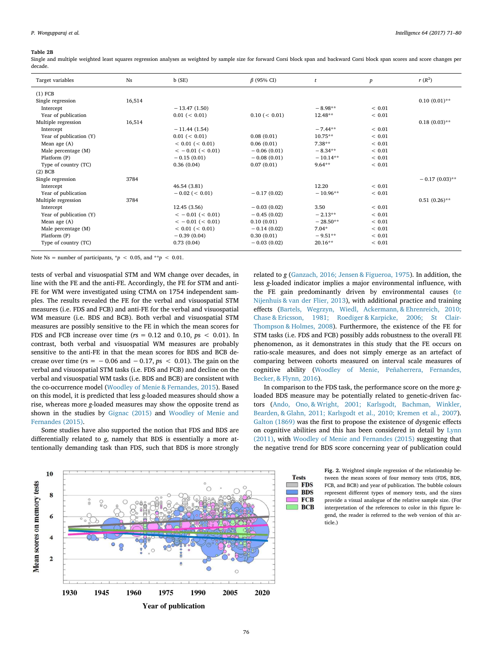#### Table 2B

Single and multiple weighted least squares regression analyses as weighted by sample size for forward Corsi block span and backward Corsi block span scores and score changes per decade.

| Target variables        | Ns     | b(SE)                 | $\beta$ (95% CI) | t          | $\boldsymbol{p}$ | $r(R^2)$         |
|-------------------------|--------|-----------------------|------------------|------------|------------------|------------------|
| $(1)$ FCB               |        |                       |                  |            |                  |                  |
| Single regression       | 16,514 |                       |                  |            |                  | $0.10(0.01)$ **  |
| Intercept               |        | $-13.47(1.50)$        |                  | $-8.98**$  | ${}< 0.01$       |                  |
| Year of publication     |        | 0.01 (< 0.01)         | 0.10 (< 0.01)    | $12.48**$  | ${}< 0.01$       |                  |
| Multiple regression     | 16,514 |                       |                  |            |                  | $0.18(0.03)$ **  |
| Intercept               |        | $-11.44(1.54)$        |                  | $-7.44**$  | ${}< 0.01$       |                  |
| Year of publication (Y) |        | 0.01 (< 0.01)         | 0.08(0.01)       | $10.75**$  | ${}< 0.01$       |                  |
| Mean age (A)            |        | $< 0.01$ ( $< 0.01$ ) | 0.06(0.01)       | $7.38**$   | ${}< 0.01$       |                  |
| Male percentage (M)     |        | $<-0.01$ ( $< 0.01$ ) | $-0.06(0.01)$    | $-8.34**$  | ${}< 0.01$       |                  |
| Platform (P)            |        | $-0.15(0.01)$         | $-0.08(0.01)$    | $-10.14**$ | ${}< 0.01$       |                  |
| Type of country (TC)    |        | 0.36(0.04)            | 0.07(0.01)       | $9.64***$  | ${}< 0.01$       |                  |
| $(2)$ BCB               |        |                       |                  |            |                  |                  |
| Single regression       | 3784   |                       |                  |            |                  | $-0.17(0.03)$ ** |
| Intercept               |        | 46.54 (3.81)          |                  | 12.20      | ${}_{0.01}$      |                  |
| Year of publication     |        | $-0.02$ ( $< 0.01$ )  | $-0.17(0.02)$    | $-10.96**$ | ${}< 0.01$       |                  |
| Multiple regression     | 3784   |                       |                  |            |                  | $0.51(0.26)$ **  |
| Intercept               |        | 12.45(3.56)           | $-0.03(0.02)$    | 3.50       | ${}< 0.01$       |                  |
| Year of publication (Y) |        | $<-0.01$ ( $< 0.01$ ) | $-0.45(0.02)$    | $-2.13**$  | ${}< 0.01$       |                  |
| Mean age (A)            |        | $<-0.01$ ( $< 0.01$ ) | 0.10(0.01)       | $-28.50**$ | < 0.01           |                  |
| Male percentage (M)     |        | $< 0.01$ ( $< 0.01$ ) | $-0.14(0.02)$    | $7.04*$    | ${}< 0.01$       |                  |
| Platform (P)            |        | $-0.39(0.04)$         | 0.30(0.01)       | $-9.51**$  | ${}< 0.01$       |                  |
| Type of country (TC)    |        | 0.73(0.04)            | $-0.03(0.02)$    | $20.16**$  | < 0.01           |                  |

Note Ns = number of participants,  $\dot{p}$  < 0.05, and  $\dot{p}$  < 0.01.

tests of verbal and visuospatial STM and WM change over decades, in line with the FE and the anti-FE. Accordingly, the FE for STM and anti-FE for WM were investigated using CTMA on 1754 independent samples. The results revealed the FE for the verbal and visuospatial STM measures (i.e. FDS and FCB) and anti-FE for the verbal and visuospatial WM measure (i.e. BDS and BCB). Both verbal and visuospatial STM measures are possibly sensitive to the FE in which the mean scores for FDS and FCB increase over time (*r*s = 0.12 and 0.10, *p*s < 0.01). In contrast, both verbal and visuospatial WM measures are probably sensitive to the anti-FE in that the mean scores for BDS and BCB decrease over time ( $rs = -0.06$  and  $-0.17$ ,  $ps < 0.01$ ). The gain on the verbal and visuospatial STM tasks (i.e. FDS and FCB) and decline on the verbal and visuospatial WM tasks (i.e. BDS and BCB) are consistent with the co-occurrence model (Woodley of Menie & Fernandes, 2015). Based on this model, it is predicted that less *g*-loaded measures should show a rise, whereas more *g*-loaded measures may show the opposite trend as shown in the studies by Gignac (2015) and Woodley of Menie and Fernandes (2015).

Some studies have also supported the notion that FDS and BDS are differentially related to *g*, namely that BDS is essentially a more attentionally demanding task than FDS, such that BDS is more strongly



related to *g* (Ganzach, 2016; Jensen & Figueroa, 1975). In addition, the less *g*-loaded indicator implies a major environmental influence, with the FE gain predominantly driven by environmental causes (te Nijenhuis & van der Flier, 2013), with additional practice and training effects (Bartels, Wegrzyn, Wiedl, Ackermann, & Ehrenreich, 2010; Chase & Ericsson, 1981; Roediger & Karpicke, 2006; St Clair-Thompson & Holmes, 2008). Furthermore, the existence of the FE for STM tasks (i.e. FDS and FCB) possibly adds robustness to the overall FE phenomenon, as it demonstrates in this study that the FE occurs on ratio-scale measures, and does not simply emerge as an artefact of comparing between cohorts measured on interval scale measures of cognitive ability (Woodley of Menie, Peñaherrera, Fernandes, Becker, & Flynn, 2016).

In comparison to the FDS task, the performance score on the more *g*loaded BDS measure may be potentially related to genetic-driven factors (Ando, Ono, & Wright, 2001; Karlsgodt, Bachman, Winkler, Bearden, & Glahn, 2011; Karlsgodt et al., 2010; Kremen et al., 2007). Galton (1869) was the first to propose the existence of dysgenic effects on cognitive abilities and this has been considered in detail by Lynn (2011), with Woodley of Menie and Fernandes (2015) suggesting that the negative trend for BDS score concerning year of publication could

> **FDS BDS**

**FCB BCB** 

Fig. 2. Weighted simple regression of the relationship between the mean scores of four memory tests (FDS, BDS, FCB, and BCB) and year of publication. The bubble colours represent different types of memory tests, and the sizes provide a visual analogue of the relative sample size. (For interpretation of the references to color in this figure legend, the reader is referred to the web version of this article.)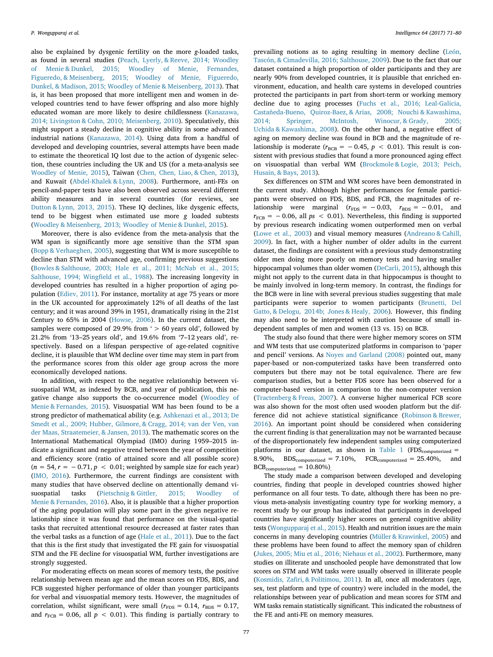also be explained by dysgenic fertility on the more *g*-loaded tasks, as found in several studies (Peach, Lyerly, & Reeve, 2014; Woodley of Menie & Dunkel, 2015; Woodley of Menie, Fernandes, Figueredo, & Meisenberg, 2015; Woodley of Menie, Figueredo, Dunkel, & Madison, 2015; Woodley of Menie & Meisenberg, 2013). That is, it has been proposed that more intelligent men and women in developed countries tend to have fewer offspring and also more highly educated woman are more likely to desire childlessness (Kanazawa, 2014; Livingston & Cohn, 2010; Meisenberg, 2010). Speculatively, this might support a steady decline in cognitive ability in some advanced industrial nations (Kanazawa, 2014). Using data from a handful of developed and developing countries, several attempts have been made to estimate the theoretical IQ lost due to the action of dysgenic selection, these countries including the UK and US (for a meta-analysis see Woodley of Menie, 2015), Taiwan (Chen, Chen, Liao, & Chen, 2013), and Kuwait (Abdel-Khalek & Lynn, 2008). Furthermore, anti-FEs on pencil-and-paper tests have also been observed across several different ability measures and in several countries (for reviews, see Dutton & Lynn, 2013, 2015). These IQ declines, like dysgenic effects, tend to be biggest when estimated use more *g* loaded subtests (Woodley & Meisenberg, 2013; Woodley of Menie & Dunkel, 2015).

Moreover, there is also evidence from the meta-analysis that the WM span is significantly more age sensitive than the STM span (Bopp & Verhaeghen, 2005), suggesting that WM is more susceptible to decline than STM with advanced age, confirming previous suggestions (Bowles & Salthouse, 2003; Hale et al., 2011; McNab et al., 2015; Salthouse, 1994; Wingfield et al., 1988). The increasing longevity in developed countries has resulted in a higher proportion of aging population (Ediev, 2011). For instance, mortality at age 75 years or more in the UK accounted for approximately 12% of all deaths of the last century; and it was around 39% in 1951, dramatically rising in the 21st Century to 65% in 2004 (Howse, 2006). In the current dataset, the samples were composed of 29.9% from  $\leq$  50 years old', followed by 21.2% from '13–25 years old', and 19.6% from '7–12 years old', respectively. Based on a lifespan perspective of age-related cognitive decline, it is plausible that WM decline over time may stem in part from the performance scores from this older age group across the more economically developed nations.

In addition, with respect to the negative relationship between visuospatial WM, as indexed by BCB, and year of publication, this negative change also supports the co-occurrence model (Woodley of Menie & Fernandes, 2015). Visuospatial WM has been found to be a strong predictor of mathematical ability (e.g. Ashkenazi et al., 2013; De Smedt et al., 2009; Hubber, Gilmore, & Cragg, 2014; van der Ven, van der Maas, Straatemeier, & Jansen, 2013). The mathematic scores on the International Mathematical Olympiad (IMO) during 1959–2015 indicate a significant and negative trend between the year of competition and efficiency score (ratio of attained score and all possible score)  $(n = 54, r = -0.71, p < 0.01$ ; weighted by sample size for each year) (IMO, 2016). Furthermore, the current findings are consistent with many studies that have observed decline on attentionally demand visuospatial tasks (Pietschnig & Gittler, 2015; Woodley of Menie & Fernandes, 2016). Also, it is plausible that a higher proportion of the aging population will play some part in the given negative relationship since it was found that performance on the visual-spatial tasks that recruited attentional resource decreased at faster rates than the verbal tasks as a function of age (Hale et al., 2011). Due to the fact that this is the first study that investigated the FE gain for visuospatial STM and the FE decline for visuospatial WM, further investigations are strongly suggested.

For moderating effects on mean scores of memory tests, the positive relationship between mean age and the mean scores on FDS, BDS, and FCB suggested higher performance of older than younger participants for verbal and visuospatial memory tests. However, the magnitudes of correlation, whilst significant, were small  $(r_{FDS} = 0.14, r_{BDS} = 0.17,$ and  $r_{\text{FCB}} = 0.06$ , all  $p < 0.01$ ). This finding is partially contrary to

prevailing notions as to aging resulting in memory decline (León, Tascón, & Cimadevilla, 2016; Salthouse, 2009). Due to the fact that our dataset contained a high proportion of older participants and they are nearly 90% from developed countries, it is plausible that enriched environment, education, and health care systems in developed countries protected the participants in part from short-term or working memory decline due to aging processes (Fuchs et al., 2016; Leal-Galicia, Castañeda-Bueno, Quiroz-Baez, & Arias, 2008; Nouchi & Kawashima, 2014; Springer, McIntosh, Winocur, & Grady, 2005; Uchida & Kawashima, 2008). On the other hand, a negative effect of aging on memory decline was found in BCB and the magnitude of relationship is moderate ( $r_{BCB} = -0.45$ ,  $p < 0.01$ ). This result is consistent with previous studies that found a more pronounced aging effect on visuospatial than verbal WM (Brockmole & Logie, 2013; Peich, Husain, & Bays, 2013).

Sex differences on STM and WM scores have been demonstrated in the current study. Although higher performances for female participants were observed on FDS, BDS, and FCB, the magnitudes of relationship were marginal  $(r_{FDS} = -0.03, r_{BDS} = -0.01,$  and  $r_{\text{FCB}} = -0.06$ , all  $ps < 0.01$ ). Nevertheless, this finding is supported by previous research indicating women outperformed men on verbal (Lowe et al., 2003) and visual memory measures (Andreano & Cahill, 2009). In fact, with a higher number of older adults in the current dataset, the findings are consistent with a previous study demonstrating older men doing more poorly on memory tests and having smaller hippocampal volumes than older women (DeCarli, 2015), although this might not apply to the current data in that hippocampus is thought to be mainly involved in long-term memory. In contrast, the findings for the BCB were in line with several previous studies suggesting that male participants were superior to women participants (Brunetti, Del Gatto, & Delogu, 2014b; Jones & Healy, 2006). However, this finding may also need to be interpreted with caution because of small independent samples of men and women (13 vs. 15) on BCB.

The study also found that there were higher memory scores on STM and WM tests that use computerized platforms in comparison to 'paper and pencil' versions. As Noyes and Garland (2008) pointed out, many paper-based or non-computerized tasks have been transferred onto computers but there may not be total equivalence. There are few comparison studies, but a better FDS score has been observed for a computer-based version in comparison to the non-computer version (Tractenberg & Freas, 2007). A converse higher numerical FCB score was also shown for the most often used wooden platform but the difference did not achieve statistical significance (Robinson & Brewer, 2016). An important point should be considered when considering the current finding is that generalization may not be warranted because of the disproportionately few independent samples using computerized platforms in our dataset, as shown in Table 1 (FDS<sub>computerized</sub> = 8.90%,  $BDS_{\text{computerized}} = 7.10\%$ ,  $FCB_{\text{computerized}} = 25.40\%$ , and  $BCB_{computerized} = 10.80\%)$ 

The study made a comparison between developed and developing countries, finding that people in developed countries showed higher performance on all four tests. To date, although there has been no previous meta-analysis investigating country type for working memory, a recent study by our group has indicated that participants in developed countries have significantly higher scores on general cognitive ability tests (Wongupparaj et al., 2015). Health and nutrition issues are the main concerns in many developing countries (Müller & Krawinkel, 2005) and these problems have been found to affect the memory span of children (Jukes, 2005; Miu et al., 2016; Niehaus et al., 2002). Furthermore, many studies on illiterate and unschooled people have demonstrated that low scores on STM and WM tasks were usually observed in illiterate people (Kosmidis, Zafiri, & Politimou, 2011). In all, once all moderators (age, sex, test platform and type of country) were included in the model, the relationships between year of publication and mean scores for STM and WM tasks remain statistically significant. This indicated the robustness of the FE and anti-FE on memory measures.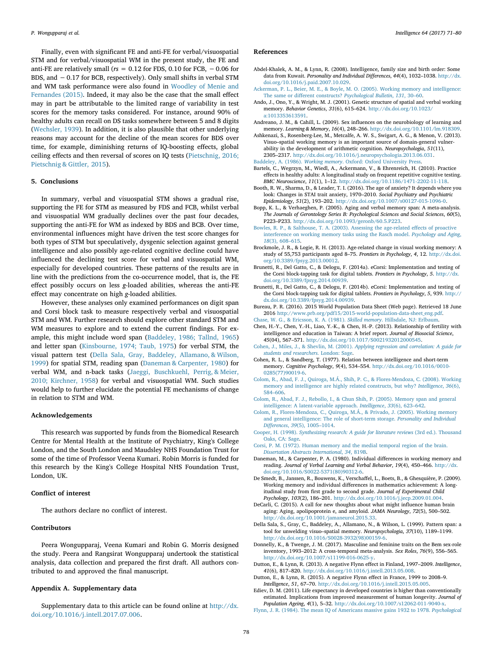Finally, even with significant FE and anti-FE for verbal/visuospatial STM and for verbal/visuospatial WM in the present study, the FE and anti-FE are relatively small ( $rs = 0.12$  for FDS, 0.10 for FCB,  $-0.06$  for BDS, and −0.17 for BCB, respectively). Only small shifts in verbal STM and WM task performance were also found in Woodley of Menie and Fernandes (2015). Indeed, it may also be the case that the small effect may in part be attributable to the limited range of variability in test scores for the memory tasks considered. For instance, around 90% of healthy adults can recall on DS tasks somewhere between 5 and 8 digits (Wechsler, 1939). In addition, it is also plausible that other underlying reasons may account for the decline of the mean scores for BDS over time, for example, diminishing returns of IQ-boosting effects, global ceiling effects and then reversal of scores on IQ tests (Pietschnig, 2016; Pietschnig & Gittler, 2015).

# 5. Conclusions

In summary, verbal and visuospatial STM shows a gradual rise, supporting the FE for STM as measured by FDS and FCB, whilst verbal and visuospatial WM gradually declines over the past four decades, supporting the anti-FE for WM as indexed by BDS and BCB. Over time, environmental influences might have driven the test score changes for both types of STM but speculatively, dysgenic selection against general intelligence and also possibly age-related cognitive decline could have influenced the declining test score for verbal and visuospatial WM, especially for developed countries. These patterns of the results are in line with the predictions from the co-occurrence model, that is, the FE effect possibly occurs on less *g*-loaded abilities, whereas the anti-FE effect may concentrate on high *g*-loaded abilities.

However, these analyses only examined performances on digit span and Corsi block task to measure respectively verbal and visuospatial STM and WM. Further research should explore other standard STM and WM measures to explore and to extend the current findings. For example, this might include word span (Baddeley, 1986; Tallnd, 1965) and letter span (Kinsbourne, 1974; Taub, 1975) for verbal STM, the visual pattern test (Della Sala, Gray, Baddeley, Allamano, & Wilson, 1999) for spatial STM, reading span (Daneman & Carpenter, 1980) for verbal WM, and n-back tasks (Jaeggi, Buschkuehl, Perrig, & Meier, 2010; Kirchner, 1958) for verbal and visuospatial WM. Such studies would help to further elucidate the potential FE mechanisms of change in relation to STM and WM.

#### Acknowledgements

This research was supported by funds from the Biomedical Research Centre for Mental Health at the Institute of Psychiatry, King's College London, and the South London and Maudsley NHS Foundation Trust for some of the time of Professor Veena Kumari. Robin Morris is funded for this research by the King's College Hospital NHS Foundation Trust, London, UK.

# Conflict of interest

The authors declare no conflict of interest.

# Contributors

Peera Wongupparaj, Veena Kumari and Robin G. Morris designed the study. Peera and Rangsirat Wongupparaj undertook the statistical analysis, data collection and prepared the first draft. All authors contributed to and approved the final manuscript.

# Appendix A. Supplementary data

Supplementary data to this article can be found online at http://dx. doi.org/10.1016/j.intell.2017.07.006.

#### References

- Abdel-Khalek, A. M., & Lynn, R. (2008). Intelligence, family size and birth order: Some data from Kuwait. *Personality and Individual Di*ff*erences*, *44*(4), 1032–1038. http://dx. doi.org/10.1016/j.paid.2007.10.029.
- Ackerman, P. L., Beier, M. E., & Boyle, M. O. (2005). Working memory and intelligence: The same or different constructs? *Psychological Bulletin*, *131*, 30–60.
- Ando, J., Ono, Y., & Wright, M. J. (2001). Genetic structure of spatial and verbal working memory. *Behavior Genetics*, *31*(6), 615–624. http://dx.doi.org/10.1023/ a:1013353613591.
- Andreano, J. M., & Cahill, L. (2009). Sex influences on the neurobiology of learning and memory. *Learning & Memory*, *16*(4), 248–266. http://dx.doi.org/10.1101/lm.918309.
- Ashkenazi, S., Rosenberg-Lee, M., Metcalfe, A. W. S., Swigart, A. G., & Menon, V. (2013). Visuo–spatial working memory is an important source of domain-general vulnerability in the development of arithmetic cognition. *Neuropsychologia*, *51*(11), 2305–2317. http://dx.doi.org/10.1016/j.neuropsychologia.2013.06.031.
- Baddeley, A. (1986). *Working memory*. Oxford: Oxford University Press.
- Bartels, C., Wegrzyn, M., Wiedl, A., Ackermann, V., & Ehrenreich, H. (2010). Practice effects in healthy adults: A longitudinal study on frequent repetitive cognitive testing. *BMC Neuroscience*, *11*(1), 1–12. http://dx.doi.org/10.1186/1471-2202-11-118.
- Booth, R. W., Sharma, D., & Leader, T. I. (2016). The age of anxiety? It depends where you look: Changes in STAI trait anxiety, 1970–2010. *Social Psychiatry and Psychiatric Epidemiology*, *51*(2), 193–202. http://dx.doi.org/10.1007/s00127-015-1096-0.
- Bopp, K. L., & Verhaeghen, P. (2005). Aging and verbal memory span: A meta-analysis. *The Journals of Gerontology Series B: Psychological Sciences and Social Sciences*, *60*(5), P223–P233. http://dx.doi.org/10.1093/geronb/60.5.P223.
- Bowles, R. P., & Salthouse, T. A. (2003). Assessing the age-related effects of proactive interference on working memory tasks using the Rasch model. *Psychology and Aging*, *18*(3), 608–615.
- Brockmole, J. R., & Logie, R. H. (2013). Age-related change in visual working memory: A study of 55,753 participants aged 8–75. *Frontiers in Psychology*, *4*, 12. http://dx.doi. org/10.3389/fpsyg.2013.00012.
- Brunetti, R., Del Gatto, C., & Delogu, F. (2014a). eCorsi: Implementation and testing of the Corsi block-tapping task for digital tablets. *Frontiers in Psychology*, *5*. http://dx. doi.org/10.3389/fpsyg.2014.00939.
- Brunetti, R., Del Gatto, C., & Delogu, F. (2014b). eCorsi: Implementation and testing of the Corsi block-tapping task for digital tablets. *Frontiers in Psychology*, *5*, 939. http:// dx.doi.org/10.3389/fpsyg.2014.00939.
- Bureau, P. R. (2016). 2015 World Population Data Sheet (Web page). Retrieved 18 June 2016 http://www.prb.org/pdf15/2015-world-population-data-sheet\_eng.pdf.
- Chase, W. G., & Ericsson, K. A. (1981). *Skilled memory*. Hillsdale, NJ: Erlbaum. Chen, H.-Y., Chen, Y.-H., Liao, Y.-K., & Chen, H.-P. (2013). Relationship of fertility with intelligence and education in Taiwan: A brief report. *Journal of Biosocial Science*, *45*(04), 567–571. http://dx.doi.org/10.1017/S0021932012000545.
- Cohen, J., Miles, J., & Shevlin, M. (2001). *Applying regression and correlation: A guide for students and researchers*. London: Sage.
- Cohen, R. L., & Sandberg, T. (1977). Relation between intelligence and short-term memory. *Cognitive Psychology*, *9*(4), 534–554. http://dx.doi.org/10.1016/0010- 0285(77)90019-6.
- Colom, R., Abad, F. J., Quiroga, M.Á., Shih, P. C., & Flores-Mendoza, C. (2008). Working memory and intelligence are highly related constructs, but why? *Intelligence*, *36*(6), 584–606.
- Colom, R., Abad, F. J., Rebollo, I., & Chun Shih, P. (2005). Memory span and general intelligence: A latent-variable approach. *Intelligence*, *33*(6), 623–642.
- Colom, R., Flores-Mendoza, C., Quiroga, M.Á., & Privado, J. (2005). Working memory and general intelligence: The role of short-term storage. *Personality and Individual Di*ff*erences*, *39*(5), 1005–1014.
- Cooper, H. (1998). *Synthesizing research: A guide for literature reviews* (3rd ed.). Thousand Oaks, CA: Sage.
- Corsi, P. M. (1972). Human memory and the medial temporal region of the brain. *Dissertation Abstracts International*, *34*, 819B.
- Daneman, M., & Carpenter, P. A. (1980). Individual differences in working memory and reading. *Journal of Verbal Learning and Verbal Behavior*, *19*(4), 450–466. http://dx. doi.org/10.1016/S0022-5371(80)90312-6.
- De Smedt, B., Janssen, R., Bouwens, K., Verschaffel, L., Boets, B., & Ghesquière, P. (2009). Working memory and individual differences in mathematics achievement: A longitudinal study from first grade to second grade. *Journal of Experimental Child Psychology*, *103*(2), 186–201. http://dx.doi.org/10.1016/j.jecp.2009.01.004.
- DeCarli, C. (2015). A call for new thoughts about what might influence human brain aging: Aging, apolipoprotein e, and amyloid. *JAMA Neurology*, *72*(5), 500–502. http://dx.doi.org/10.1001/jamaneurol.2015.33.
- Della Sala, S., Gray, C., Baddeley, A., Allamano, N., & Wilson, L. (1999). Pattern span: a tool for unwelding visuo–spatial memory. *Neuropsychologia*, *37*(10), 1189–1199. http://dx.doi.org/10.1016/S0028-3932(98)00159-6.
- Donnelly, K., & Twenge, J. M. (2017). Masculine and feminine traits on the Bem sex-role inventory, 1993–2012: A cross-temporal meta-analysis. *Sex Roles*, *76*(9), 556–565. http://dx.doi.org/10.1007/s11199-016-0625-y.
- Dutton, E., & Lynn, R. (2013). A negative Flynn effect in Finland, 1997–2009. *Intelligence*, *41*(6), 817–820. http://dx.doi.org/10.1016/j.intell.2013.05.008.
- Dutton, E., & Lynn, R. (2015). A negative Flynn effect in France, 1999 to 2008–9. *Intelligence*, *51*, 67–70. http://dx.doi.org/10.1016/j.intell.2015.05.005.
- Ediev, D. M. (2011). Life expectancy in developed countries is higher than conventionally estimated. Implications from improved measurement of human longevity. *Journal of Population Ageing*, *4*(1), 5–32. http://dx.doi.org/10.1007/s12062-011-9040-x.
- Flynn, J. R. (1984). The mean IQ of Americans massive gains 1932 to 1978. *Psychological*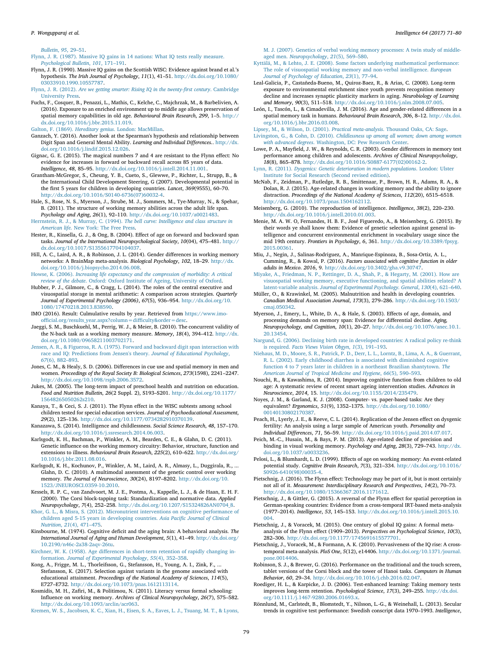*Bulletin*, *95*, 29–51.

Flynn, J. R. (1987). Massive IQ gains in 14 nations: What IQ tests really measure. *Psychological Bulletin*, *101*, 171–191.

- Flynn, J. R. (1990). Massive IQ gains on the Scottish WISC: Evidence against brand et al.'s hypothesis. *The Irish Journal of Psychology*, *11*(1), 41–51. http://dx.doi.org/10.1080/ 03033910.1990.10557787.
- Flynn, J. R. (2012). *Are we getting smarter: Rising IQ in the twenty-*fi*rst century*. Cambridge University Press.
- Fuchs, F., Cosquer, B., Penazzi, L., Mathis, C., Kelche, C., Majchrzak, M., & Barbelivien, A. (2016). Exposure to an enriched environment up to middle age allows preservation of spatial memory capabilities in old age. *Behavioural Brain Research*, *299*, 1–5. http:// dx.doi.org/10.1016/j.bbr.2015.11.019.
- Galton, F. (1869). *Hereditary genius*. London: MacMillan.
- Ganzach, Y. (2016). Another look at the Spearman's hypothesis and relationship between Digit Span and General Mental Ability. *Learning and Individual Di*ff*erences.*. http://dx. doi.org/10.1016/j.lindif.2015.12.026.
- Gignac, G. E. (2015). The magical numbers 7 and 4 are resistant to the Flynn effect: No evidence for increases in forward or backward recall across 85 years of data. *Intelligence*, *48*, 85–95. http://dx.doi.org/10.1016/j.intell.2014.11.001.
- Grantham-McGregor, S., Cheung, Y. B., Cueto, S., Glewwe, P., Richter, L., Strupp, B., & the International Child Development Steering, G (2007). Developmental potential in the first 5 years for children in developing countries. *Lancet*, *369*(9555), 60–70. http://dx.doi.org/10.1016/S0140-6736(07)60032-4.
- Hale, S., Rose, N. S., Myerson, J., Strube, M. J., Sommers, M., Tye-Murray, N., & Spehar, B. (2011). The structure of working memory abilities across the adult life span. *Psychology and Aging*, *26*(1), 92–110. http://dx.doi.org/10.1037/a0021483.
- Herrnstein, R. J., & Murray, C. (1994). *The bell curve: Intelligence and class structure in American life*. New York: The Free Press.
- Hester, R., Kinsella, G. J., & Ong, B. (2004). Effect of age on forward and backward span tasks. *Journal of the International Neuropsychological Society*, *10*(04), 475–481. http:// dx.doi.org/10.1017/S1355617704104037.
- Hill, A. C., Laird, A. R., & Robinson, J. L. (2014). Gender differences in working memory networks: A BrainMap meta-analysis. *Biological Psychology*, *102*, 18–29. http://dx. doi.org/10.1016/j.biopsycho.2014.06.008.
- Howse, K. (2006). *Increasing life expectancy and the compression of morbidity: A critical review of the debate*. Oxford: Oxford Institute of Ageing, University of Oxford.
- Hubber, P. J., Gilmore, C., & Cragg, L. (2014). The roles of the central executive and visuospatial storage in mental arithmetic: A comparison across strategies. *Quarterly Journal of Experimental Psychology (2006)*, *67*(5), 936–954. http://dx.doi.org/10. 1080/17470218.2013.838590.
- IMO (2016). Result: Culmulative results by year. Retrieved from https://www.imoofficial.org/results\_year.aspx?column=difficulty&order=desc.
- Jaeggi, S. M., Buschkuehl, M., Perrig, W. J., & Meier, B. (2010). The concurrent validity of the N-back task as a working memory measure. *Memory*, *18*(4), 394–412. http://dx. doi.org/10.1080/09658211003702171.
- Jensen, A. R., & Figueroa, R. A. (1975). Forward and backward digit span interaction with race and IQ: Predictions from Jensen's theory. *Journal of Educational Psychology*, *67*(6), 882–893.
- Jones, C. M., & Healy, S. D. (2006). Differences in cue use and spatial memory in men and women. *Proceedings of the Royal Society B: Biological Sciences*, *273*(1598), 2241–2247. http://dx.doi.org/10.1098/rspb.2006.3572.
- Jukes, M. (2005). The long-term impact of preschool health and nutrition on education. *Food and Nutrition Bulletin*, *26*(2 Suppl. 2), S193–S201. http://dx.doi.org/10.1177/ 15648265050262s210.
- Kanaya, T., & Ceci, S. J. (2011). The Flynn effect in the WISC subtests among school children tested for special education services. *Journal of Psychoeducational Assessment*, *29*(2), 125–136. http://dx.doi.org/10.1177/0734282910370139.
- Kanazawa, S. (2014). Intelligence and childlessness. *Social Science Research*, *48*, 157–170. http://dx.doi.org/10.1016/j.ssresearch.2014.06.003.
- Karlsgodt, K. H., Bachman, P., Winkler, A. M., Bearden, C. E., & Glahn, D. C. (2011). Genetic influence on the working memory circuitry: Behavior, structure, function and extensions to illness. *Behavioural Brain Research*, *225*(2), 610–622. http://dx.doi.org/ 10.1016/j.bbr.2011.08.016.
- Karlsgodt, K. H., Kochunov, P., Winkler, A. M., Laird, A. R., Almasy, L., Duggirala, R., ... Glahn, D. C. (2010). A multimodal assessment of the genetic control over working memory. *The Journal of Neuroscience*, *30*(24), 8197–8202. http://dx.doi.org/10. 1523/JNEUROSCI.0359-10.2010.
- Kessels, R. P. C., van Zandvoort, M. J. E., Postma, A., Kappelle, L. J., & de Haan, E. H. F. (2000). The Corsi block-tapping task: Standardization and normative data. *Applied Neuropsychology*, *7*(4), 252–258. http://dx.doi.org/10.1207/S15324826AN0704\_8.
- Khor, G. L., & Misra, S. (2012). Micronutrient interventions on cognitive performance of children aged 5-15 years in developing countries. *Asia Paci*fi*c Journal of Clinical Nutrition*, *21*(4), 471–475.
- Kinsbourne, M. (1974). Cognitive deficit and the aging brain: A behavioral analysis. *The International Journal of Aging and Human Development*, *5*(1), 41–49. http://dx.doi.org/ 10.2190/n46c-2a38-2aqv-26tu.

Kirchner, W. K. (1958). Age differences in short-term retention of rapidly changing information. *Journal of Experimental Psychology*, *55*(4), 352–358.

- Kong, A., Frigge, M. L., Thorleifsson, G., Stefansson, H., Young, A. I., Zink, F., ... Stefansson, K. (2017). Selection against variants in the genome associated with educational attainment. *Proceedings of the National Academy of Sciences*, *114*(5), E727–E732. http://dx.doi.org/10.1073/pnas.1612113114.
- Kosmidis, M. H., Zafiri, M., & Politimou, N. (2011). Literacy versus formal schooling: Influence on working memory. *Archives of Clinical Neuropsychology*, *26*(7), 575–582. http://dx.doi.org/10.1093/arclin/acr063.

Kremen, W. S., Jacobsen, K. C., Xian, H., Eisen, S. A., Eaves, L. J., Tsuang, M. T., & Lyons,

M. J. (2007). Genetics of verbal working memory processes: A twin study of middleaged men. *Neuropsychology*, *21*(5), 569–580.

- Kyttälä, M., & Lehto, J. E. (2008). Some factors underlying mathematical performance: The role of visuospatial working memory and non-verbal intelligence. *European Journal of Psychology of Education*, *23*(1), 77–94.
- Leal-Galicia, P., Castañeda-Bueno, M., Quiroz-Baez, R., & Arias, C. (2008). Long-term exposure to environmental enrichment since youth prevents recognition memory decline and increases synaptic plasticity markers in aging. *Neurobiology of Learning and Memory*, *90*(3), 511–518. http://dx.doi.org/10.1016/j.nlm.2008.07.005.
- León, I., Tascón, L., & Cimadevilla, J. M. (2016). Age and gender-related differences in a spatial memory task in humans. *Behavioural Brain Research*, *306*, 8–12. http://dx.doi. org/10.1016/j.bbr.2016.03.008.
- Lipsey, M., & Wilson, D. (2001). *Practical meta-analysis*. Thousand Oaks, CA: Sage. Livingston, G., & Cohn, D. (2010). *Childlessness up among all women; down among women*
- *with advanced degrees*. Washington, DC: Pew Research Center.
- Lowe, P. A., Mayfield, J. W., & Reynolds, C. R. (2003). Gender differences in memory test performance among children and adolescents. *Archives of Clinical Neuropsychology*, *18*(8), 865–878. http://dx.doi.org/10.1016/S0887-6177(02)00162-2.
- Lynn, R. (2011). *Dysgenics: Genetic deterioration in modern populations*. London: Ulster Institute for Social Research (Second revised edition).
- McNab, F., Zeidman, P., Rutledge, R. B., Smittenaar, P., Brown, H. R., Adams, R. A., & Dolan, R. J. (2015). Age-related changes in working memory and the ability to ignore distraction. *Proceedings of the National Academy of Sciences*, *112*(20), 6515–6518. http://dx.doi.org/10.1073/pnas.1504162112.

Meisenberg, G. (2010). The reproduction of intelligence. *Intelligence*, *38*(2), 220–230. http://dx.doi.org/10.1016/j.intell.2010.01.003.

- Menie, M. A. W. O, Fernandes, H. B. F., José Figueredo, A., & Meisenberg, G. (2015). By their words ye shall know them: Evidence of genetic selection against general intelligence and concurrent environmental enrichment in vocabulary usage since the mid 19th century. *Frontiers in Psychology*, *6*, 361. http://dx.doi.org/10.3389/fpsyg. 2015.00361.
- Miu, J., Negin, J., Salinas-Rodriguez, A., Manrique-Espinoza, B., Sosa-Ortiz, A. L., Cumming, R., & Kowal, P. (2016). *Factors associated with cognitive function in older adults in Mexico*. *2016*, 9. http://dx.doi.org/10.3402/gha.v9.30747.

Miyake, A., Friedman, N. P., Rettinger, D. A., Shah, P., & Hegarty, M. (2001). How are visuospatial working memory, executive functioning, and spatial abilities related? A latent-variable analysis. *Journal of Experimental Psychology. General*, *130*(4), 621–640.

- Müller, O., & Krawinkel, M. (2005). Malnutrition and health in developing countries. *Canadian Medical Association Journal*, *173*(3), 279–286. http://dx.doi.org/10.1503/ cmaj.050342.
- Myerson, J., Emery, L., White, D. A., & Hale, S. (2003). Effects of age, domain, and processing demands on memory span: Evidence for differential decline. *Aging, Neuropsychology, and Cognition*, *10*(1), 20–27. http://dx.doi.org/10.1076/anec.10.1. 20.13454.
- Nargund, G. (2006). Declining birth rate in developed countries: A radical policy re-think is required. *Facts Views Vision Obgyn*, *1*(3), 191–193.
- Niehaus, M. D., Moore, S. R., Patrick, P. D., Derr, L. L., Lorntz, B., Lima, A. A., & Guerrant, R. L. (2002). Early childhood diarrhea is associated with diminished cognitive function 4 to 7 years later in children in a northeast Brazilian shantytown. *The American Journal of Tropical Medicine and Hygiene*, *66*(5), 590–593.
- Nouchi, R., & Kawashima, R. (2014). Improving cognitive function from children to old age: A systematic review of recent smart ageing intervention studies. *Advances in Neuroscience*, *2014*, 15. http://dx.doi.org/10.1155/2014/235479.
- Noyes, J. M., & Garland, K. J. (2008). Computer- vs. paper-based tasks: Are they equivalent? *Ergonomics*, *51*(9), 1352–1375. http://dx.doi.org/10.1080/ 00140130802170387.
- Peach, H., Lyerly, J. E., & Reeve, C. L. (2014). Replication of the Jensen effect on dysgenic fertility: An analysis using a large sample of American youth. *Personality and Individual Di*ff*erences*, *71*, 56–59. http://dx.doi.org/10.1016/j.paid.2014.07.017.
- Peich, M.-C., Husain, M., & Bays, P. M. (2013). Age-related decline of precision and binding in visual working memory. *Psychology and Aging*, *28*(3), 729–743. http://dx. doi.org/10.1037/a0033236.
- Pelosi, L., & Blumhardt, L. D. (1999). Effects of age on working memory: An event-related potential study. *Cognitive Brain Research*, *7*(3), 321–334. http://dx.doi.org/10.1016/ S0926-6410(98)00035-4.
- Pietschnig, J. (2016). The Flynn effect: Technology may be part of it, but is most certainly not all of it. *Measurement: Interdisciplinary Research and Perspectives*, *14*(2), 70–73. http://dx.doi.org/10.1080/15366367.2016.1171612.
- Pietschnig, J., & Gittler, G. (2015). A reversal of the Flynn effect for spatial perception in German-speaking countries: Evidence from a cross-temporal IRT-based meta-analysis (1977–2014). *Intelligence*, *53*, 145–153. http://dx.doi.org/10.1016/j.intell.2015.10. 004.
- Pietschnig, J., & Voracek, M. (2015). One century of global IQ gains: A formal metaanalysis of the Flynn effect (1909–2013). *Perspectives on Psychological Science*, *10*(3), 282–306. http://dx.doi.org/10.1177/1745691615577701.
- Pietschnig, J., Voracek, M., & Formann, A. K. (2010). Pervasiveness of the IQ rise: A crosstemporal meta-analysis. *PloS One*, *5*(12), e14406. http://dx.doi.org/10.1371/journal. pone.0014406.
- Robinson, S. J., & Brewer, G. (2016). Performance on the traditional and the touch screen, tablet versions of the Corsi block and the tower of Hanoi tasks. *Computers in Human Behavior*, *60*, 29–34. http://dx.doi.org/10.1016/j.chb.2016.02.047.
- Roediger, H. L., & Karpicke, J. D. (2006). Test-enhanced learning: Taking memory tests improves long-term retention. *Psychological Science*, *17*(3), 249–255. http://dx.doi. org/10.1111/j.1467-9280.2006.01693.x.
- Rönnlund, M., Carlstedt, B., Blomstedt, Y., Nilsson, L.-G., & Weinehall, L. (2013). Secular trends in cognitive test performance: Swedish conscript data 1970–1993. *Intelligence*,